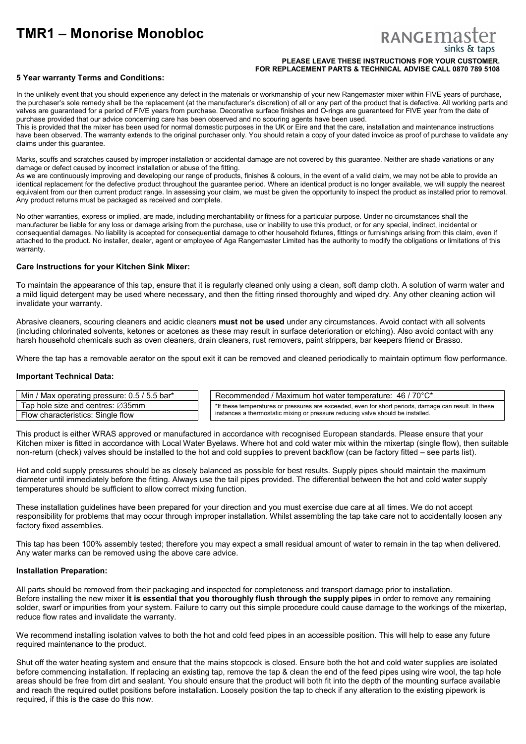# **TMR1 – Monorise Monobloc**

# RANGEMA

### **PLEASE LEAVE THESE INSTRUCTIONS FOR YOUR CUSTOMER. FOR REPLACEMENT PARTS & TECHNICAL ADVISE CALL 0870 789 5108**

# **5 Year warranty Terms and Conditions:**

In the unlikely event that you should experience any defect in the materials or workmanship of your new Rangemaster mixer within FIVE years of purchase, the purchaser's sole remedy shall be the replacement (at the manufacturer's discretion) of all or any part of the product that is defective. All working parts and valves are guaranteed for a period of FIVE years from purchase. Decorative surface finishes and O-rings are guaranteed for FIVE year from the date of purchase provided that our advice concerning care has been observed and no scouring agents have been used. This is provided that the mixer has been used for normal domestic purposes in the UK or Eire and that the care, installation and maintenance instructions

have been observed. The warranty extends to the original purchaser only. You should retain a copy of your dated invoice as proof of purchase to validate any claims under this guarantee.

Marks, scuffs and scratches caused by improper installation or accidental damage are not covered by this guarantee. Neither are shade variations or any damage or defect caused by incorrect installation or abuse of the fitting.

As we are continuously improving and developing our range of products, finishes & colours, in the event of a valid claim, we may not be able to provide an identical replacement for the defective product throughout the guarantee period. Where an identical product is no longer available, we will supply the nearest equivalent from our then current product range. In assessing your claim, we must be given the opportunity to inspect the product as installed prior to removal. Any product returns must be packaged as received and complete.

No other warranties, express or implied, are made, including merchantability or fitness for a particular purpose. Under no circumstances shall the manufacturer be liable for any loss or damage arising from the purchase, use or inability to use this product, or for any special, indirect, incidental or consequential damages. No liability is accepted for consequential damage to other household fixtures, fittings or furnishings arising from this claim, even if attached to the product. No installer, dealer, agent or employee of Aga Rangemaster Limited has the authority to modify the obligations or limitations of this warranty.

# **Care Instructions for your Kitchen Sink Mixer:**

To maintain the appearance of this tap, ensure that it is regularly cleaned only using a clean, soft damp cloth. A solution of warm water and a mild liquid detergent may be used where necessary, and then the fitting rinsed thoroughly and wiped dry. Any other cleaning action will invalidate your warranty.

Abrasive cleaners, scouring cleaners and acidic cleaners **must not be used** under any circumstances. Avoid contact with all solvents (including chlorinated solvents, ketones or acetones as these may result in surface deterioration or etching). Also avoid contact with any harsh household chemicals such as oven cleaners, drain cleaners, rust removers, paint strippers, bar keepers friend or Brasso.

Where the tap has a removable aerator on the spout exit it can be removed and cleaned periodically to maintain optimum flow performance.

# **Important Technical Data:**

| Min / Max operating pressure: 0.5 / 5.5 bar*  | Recommended / Maximum hot water temperature: 46 / 70°C*                                               |  |
|-----------------------------------------------|-------------------------------------------------------------------------------------------------------|--|
| Tap hole size and centres: $\varnothing$ 35mm | *If these temperatures or pressures are exceeded, even for short periods, damage can result. In these |  |
| Flow characteristics: Single flow             | instances a thermostatic mixing or pressure reducing valve should be installed.                       |  |

This product is either WRAS approved or manufactured in accordance with recognised European standards. Please ensure that your Kitchen mixer is fitted in accordance with Local Water Byelaws. Where hot and cold water mix within the mixertap (single flow), then suitable non-return (check) valves should be installed to the hot and cold supplies to prevent backflow (can be factory fitted – see parts list).

Hot and cold supply pressures should be as closely balanced as possible for best results. Supply pipes should maintain the maximum diameter until immediately before the fitting. Always use the tail pipes provided. The differential between the hot and cold water supply temperatures should be sufficient to allow correct mixing function.

These installation guidelines have been prepared for your direction and you must exercise due care at all times. We do not accept responsibility for problems that may occur through improper installation. Whilst assembling the tap take care not to accidentally loosen any factory fixed assemblies.

This tap has been 100% assembly tested; therefore you may expect a small residual amount of water to remain in the tap when delivered. Any water marks can be removed using the above care advice.

### **Installation Preparation:**

All parts should be removed from their packaging and inspected for completeness and transport damage prior to installation. Before installing the new mixer **it is essential that you thoroughly flush through the supply pipes** in order to remove any remaining solder, swarf or impurities from your system. Failure to carry out this simple procedure could cause damage to the workings of the mixertap, reduce flow rates and invalidate the warranty.

We recommend installing isolation valves to both the hot and cold feed pipes in an accessible position. This will help to ease any future required maintenance to the product.

Shut off the water heating system and ensure that the mains stopcock is closed. Ensure both the hot and cold water supplies are isolated before commencing installation. If replacing an existing tap, remove the tap & clean the end of the feed pipes using wire wool, the tap hole areas should be free from dirt and sealant. You should ensure that the product will both fit into the depth of the mounting surface available and reach the required outlet positions before installation. Loosely position the tap to check if any alteration to the existing pipework is required, if this is the case do this now.